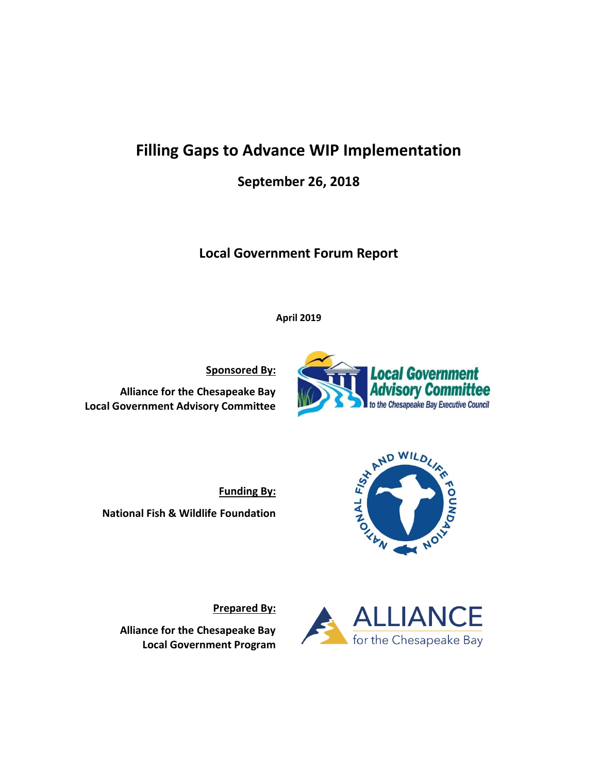# **Filling Gaps to Advance WIP Implementation**

**September 26, 2018** 

**Local Government Forum Report**

**April 2019**

**Sponsored By:**

**Alliance for the Chesapeake Bay Local Government Advisory Committee**



**Alliance for the Chesapeake Bay Local Government Program**

**Prepared By:**



**Local Government** 

**visory Committee** to the Chesapeake Bay Executive Council



NO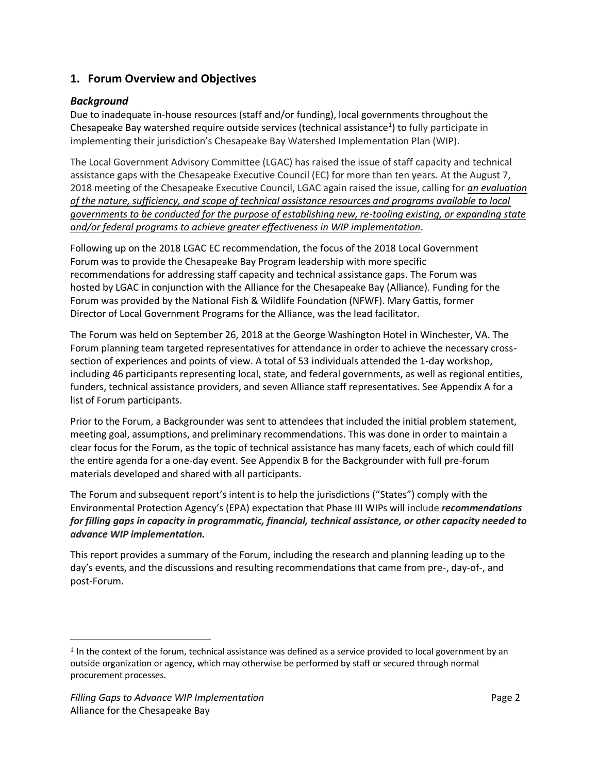# **1. Forum Overview and Objectives**

# *Background*

Due to inadequate in-house resources (staff and/or funding), local governments throughout the Chesapeake Bay watershed require outside services (technical assistance<sup>1</sup>) to fully participate in implementing their jurisdiction's Chesapeake Bay Watershed Implementation Plan (WIP).

The Local Government Advisory Committee (LGAC) has raised the issue of staff capacity and technical assistance gaps with the Chesapeake Executive Council (EC) for more than ten years. At the August 7, 2018 meeting of the Chesapeake Executive Council, LGAC again raised the issue, calling for *an evaluation of the nature, sufficiency, and scope of technical assistance resources and programs available to local governments to be conducted for the purpose of establishing new, re-tooling existing, or expanding state and/or federal programs to achieve greater effectiveness in WIP implementation.* 

Following up on the 2018 LGAC EC recommendation, the focus of the 2018 Local Government Forum was to provide the Chesapeake Bay Program leadership with more specific recommendations for addressing staff capacity and technical assistance gaps. The Forum was hosted by LGAC in conjunction with the Alliance for the Chesapeake Bay (Alliance). Funding for the Forum was provided by the National Fish & Wildlife Foundation (NFWF). Mary Gattis, former Director of Local Government Programs for the Alliance, was the lead facilitator.

The Forum was held on September 26, 2018 at the George Washington Hotel in Winchester, VA. The Forum planning team targeted representatives for attendance in order to achieve the necessary crosssection of experiences and points of view. A total of 53 individuals attended the 1-day workshop, including 46 participants representing local, state, and federal governments, as well as regional entities, funders, technical assistance providers, and seven Alliance staff representatives. See Appendix A for a list of Forum participants.

Prior to the Forum, a Backgrounder was sent to attendees that included the initial problem statement, meeting goal, assumptions, and preliminary recommendations. This was done in order to maintain a clear focus for the Forum, as the topic of technical assistance has many facets, each of which could fill the entire agenda for a one-day event. See Appendix B for the Backgrounder with full pre-forum materials developed and shared with all participants.

The Forum and subsequent report's intent is to help the jurisdictions ("States") comply with the Environmental Protection Agency's (EPA) expectation that Phase III WIPs will include *recommendations for filling gaps in capacity in programmatic, financial, technical assistance, or other capacity needed to advance WIP implementation.*

This report provides a summary of the Forum, including the research and planning leading up to the day's events, and the discussions and resulting recommendations that came from pre-, day-of-, and post-Forum.

 $1$  In the context of the forum, technical assistance was defined as a service provided to local government by an outside organization or agency, which may otherwise be performed by staff or secured through normal procurement processes.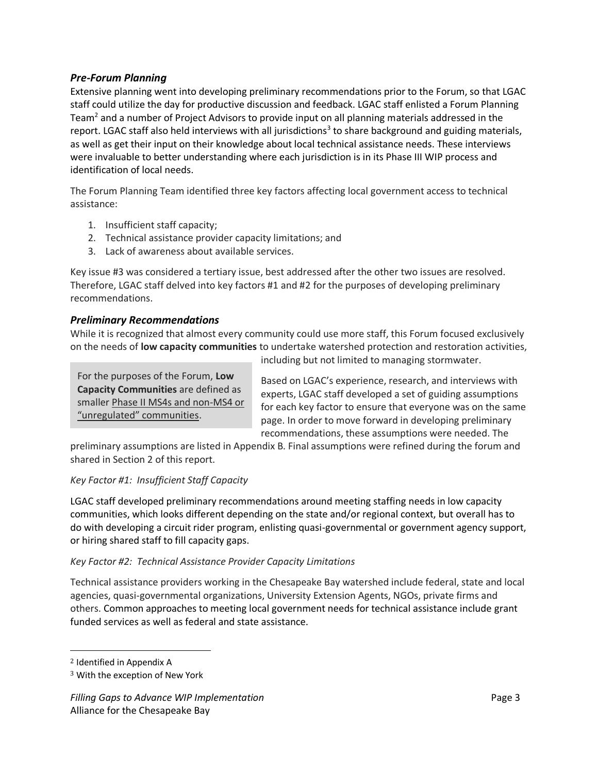# *Pre-Forum Planning*

Extensive planning went into developing preliminary recommendations prior to the Forum, so that LGAC staff could utilize the day for productive discussion and feedback. LGAC staff enlisted a Forum Planning Team<sup>2</sup> and a number of Project Advisors to provide input on all planning materials addressed in the report. LGAC staff also held interviews with all jurisdictions<sup>3</sup> to share background and guiding materials, as well as get their input on their knowledge about local technical assistance needs. These interviews were invaluable to better understanding where each jurisdiction is in its Phase III WIP process and identification of local needs.

The Forum Planning Team identified three key factors affecting local government access to technical assistance:

- 1. Insufficient staff capacity;
- 2. Technical assistance provider capacity limitations; and
- 3. Lack of awareness about available services.

Key issue #3 was considered a tertiary issue, best addressed after the other two issues are resolved. Therefore, LGAC staff delved into key factors #1 and #2 for the purposes of developing preliminary recommendations.

# *Preliminary Recommendations*

While it is recognized that almost every community could use more staff, this Forum focused exclusively on the needs of **low capacity communities** to undertake watershed protection and restoration activities,

For the purposes of the Forum, **Low Capacity Communities** are defined as smaller Phase II MS4s and non-MS4 or "unregulated" communities.

including but not limited to managing stormwater.

Based on LGAC's experience, research, and interviews with experts, LGAC staff developed a set of guiding assumptions for each key factor to ensure that everyone was on the same page. In order to move forward in developing preliminary recommendations, these assumptions were needed. The

preliminary assumptions are listed in Appendix B. Final assumptions were refined during the forum and shared in Section 2 of this report.

# *Key Factor #1: Insufficient Staff Capacity*

LGAC staff developed preliminary recommendations around meeting staffing needs in low capacity communities, which looks different depending on the state and/or regional context, but overall has to do with developing a circuit rider program, enlisting quasi-governmental or government agency support, or hiring shared staff to fill capacity gaps.

# *Key Factor #2: Technical Assistance Provider Capacity Limitations*

Technical assistance providers working in the Chesapeake Bay watershed include federal, state and local agencies, quasi-governmental organizations, University Extension Agents, NGOs, private firms and others. Common approaches to meeting local government needs for technical assistance include grant funded services as well as federal and state assistance.

<sup>2</sup> Identified in Appendix A

<sup>3</sup> With the exception of New York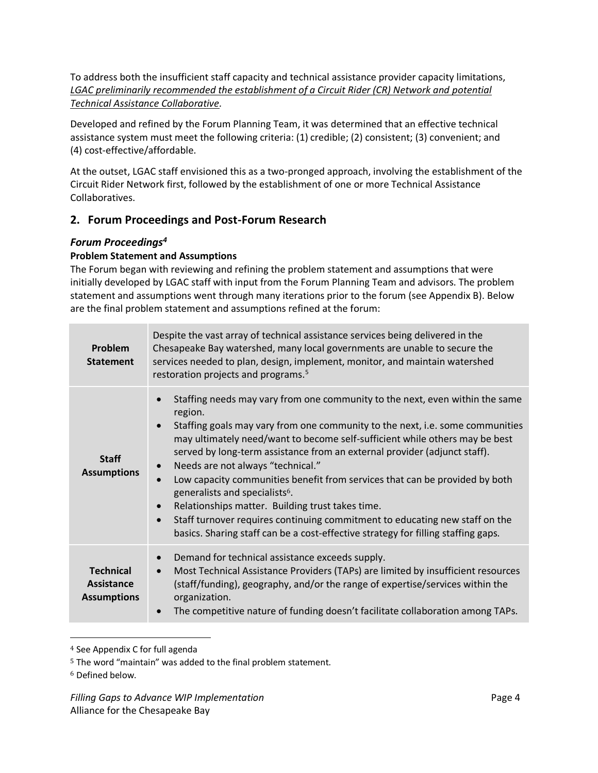To address both the insufficient staff capacity and technical assistance provider capacity limitations, *LGAC preliminarily recommended the establishment of a Circuit Rider (CR) Network and potential Technical Assistance Collaborative.*

Developed and refined by the Forum Planning Team, it was determined that an effective technical assistance system must meet the following criteria: (1) credible; (2) consistent; (3) convenient; and (4) cost-effective/affordable.

At the outset, LGAC staff envisioned this as a two-pronged approach, involving the establishment of the Circuit Rider Network first, followed by the establishment of one or more Technical Assistance Collaboratives.

# **2. Forum Proceedings and Post-Forum Research**

# *Forum Proceedings<sup>4</sup>*

# **Problem Statement and Assumptions**

The Forum began with reviewing and refining the problem statement and assumptions that were initially developed by LGAC staff with input from the Forum Planning Team and advisors. The problem statement and assumptions went through many iterations prior to the forum (see Appendix B). Below are the final problem statement and assumptions refined at the forum:

| Problem<br><b>Statement</b>                          | Despite the vast array of technical assistance services being delivered in the<br>Chesapeake Bay watershed, many local governments are unable to secure the<br>services needed to plan, design, implement, monitor, and maintain watershed<br>restoration projects and programs. <sup>5</sup>                                                                                                                                                                                                                                                                                                                                                                                                                                                                                                                |
|------------------------------------------------------|--------------------------------------------------------------------------------------------------------------------------------------------------------------------------------------------------------------------------------------------------------------------------------------------------------------------------------------------------------------------------------------------------------------------------------------------------------------------------------------------------------------------------------------------------------------------------------------------------------------------------------------------------------------------------------------------------------------------------------------------------------------------------------------------------------------|
| <b>Staff</b><br><b>Assumptions</b>                   | Staffing needs may vary from one community to the next, even within the same<br>$\bullet$<br>region.<br>Staffing goals may vary from one community to the next, i.e. some communities<br>$\bullet$<br>may ultimately need/want to become self-sufficient while others may be best<br>served by long-term assistance from an external provider (adjunct staff).<br>Needs are not always "technical."<br>$\bullet$<br>Low capacity communities benefit from services that can be provided by both<br>$\bullet$<br>generalists and specialists <sup>6</sup> .<br>Relationships matter. Building trust takes time.<br>$\bullet$<br>Staff turnover requires continuing commitment to educating new staff on the<br>$\bullet$<br>basics. Sharing staff can be a cost-effective strategy for filling staffing gaps. |
| <b>Technical</b><br>Assistance<br><b>Assumptions</b> | Demand for technical assistance exceeds supply.<br>$\bullet$<br>Most Technical Assistance Providers (TAPs) are limited by insufficient resources<br>$\bullet$<br>(staff/funding), geography, and/or the range of expertise/services within the<br>organization.<br>The competitive nature of funding doesn't facilitate collaboration among TAPs.<br>$\bullet$                                                                                                                                                                                                                                                                                                                                                                                                                                               |

<sup>4</sup> See Appendix C for full agenda

<sup>5</sup> The word "maintain" was added to the final problem statement.

<sup>6</sup> Defined below.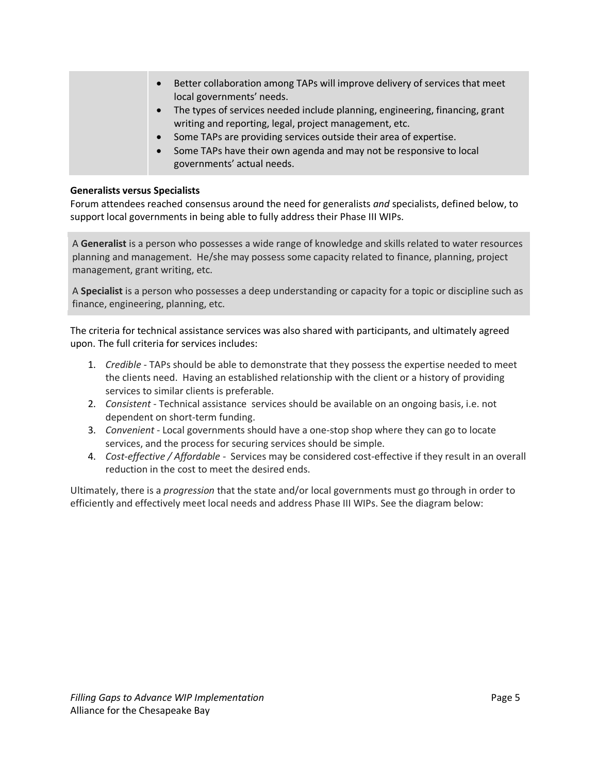• Better collaboration among TAPs will improve delivery of services that meet local governments' needs. The types of services needed include planning, engineering, financing, grant writing and reporting, legal, project management, etc. • Some TAPs are providing services outside their area of expertise. • Some TAPs have their own agenda and may not be responsive to local governments' actual needs.

#### **Generalists versus Specialists**

Forum attendees reached consensus around the need for generalists *and* specialists, defined below, to support local governments in being able to fully address their Phase III WIPs.

A **Generalist** is a person who possesses a wide range of knowledge and skills related to water resources planning and management. He/she may possess some capacity related to finance, planning, project management, grant writing, etc.

A **Specialist** is a person who possesses a deep understanding or capacity for a topic or discipline such as finance, engineering, planning, etc.

The criteria for technical assistance services was also shared with participants, and ultimately agreed upon. The full criteria for services includes:

- 1. *Credible*  TAPs should be able to demonstrate that they possess the expertise needed to meet the clients need. Having an established relationship with the client or a history of providing services to similar clients is preferable.
- 2. *Consistent* Technical assistance services should be available on an ongoing basis, i.e. not dependent on short-term funding.
- 3. *Convenient* Local governments should have a one-stop shop where they can go to locate services, and the process for securing services should be simple.
- 4. *Cost-effective / Affordable* Services may be considered cost-effective if they result in an overall reduction in the cost to meet the desired ends.

Ultimately, there is a *progression* that the state and/or local governments must go through in order to efficiently and effectively meet local needs and address Phase III WIPs. See the diagram below: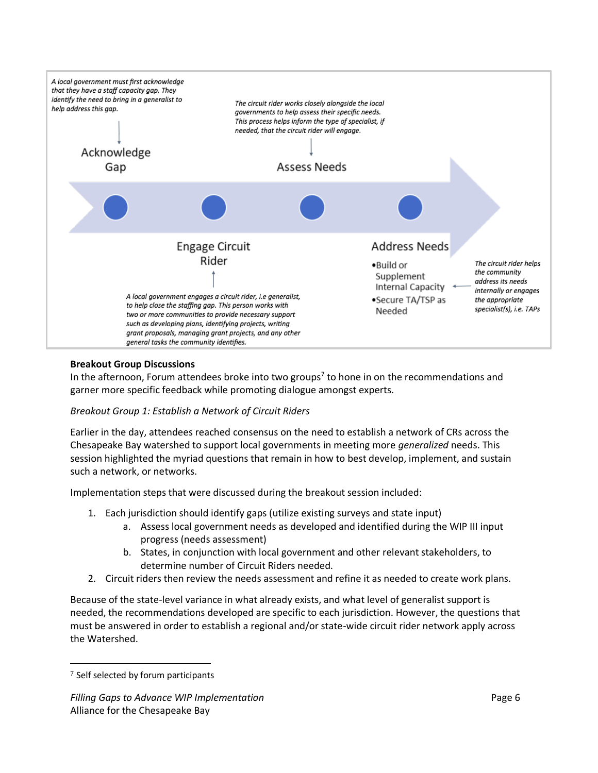

#### **Breakout Group Discussions**

In the afternoon, Forum attendees broke into two groups<sup>7</sup> to hone in on the recommendations and garner more specific feedback while promoting dialogue amongst experts.

#### *Breakout Group 1: Establish a Network of Circuit Riders*

Earlier in the day, attendees reached consensus on the need to establish a network of CRs across the Chesapeake Bay watershed to support local governments in meeting more *generalized* needs. This session highlighted the myriad questions that remain in how to best develop, implement, and sustain such a network, or networks.

Implementation steps that were discussed during the breakout session included:

- 1. Each jurisdiction should identify gaps (utilize existing surveys and state input)
	- a. Assess local government needs as developed and identified during the WIP III input progress (needs assessment)
	- b. States, in conjunction with local government and other relevant stakeholders, to determine number of Circuit Riders needed.
- 2. Circuit riders then review the needs assessment and refine it as needed to create work plans.

Because of the state-level variance in what already exists, and what level of generalist support is needed, the recommendations developed are specific to each jurisdiction. However, the questions that must be answered in order to establish a regional and/or state-wide circuit rider network apply across the Watershed.

<sup>7</sup> Self selected by forum participants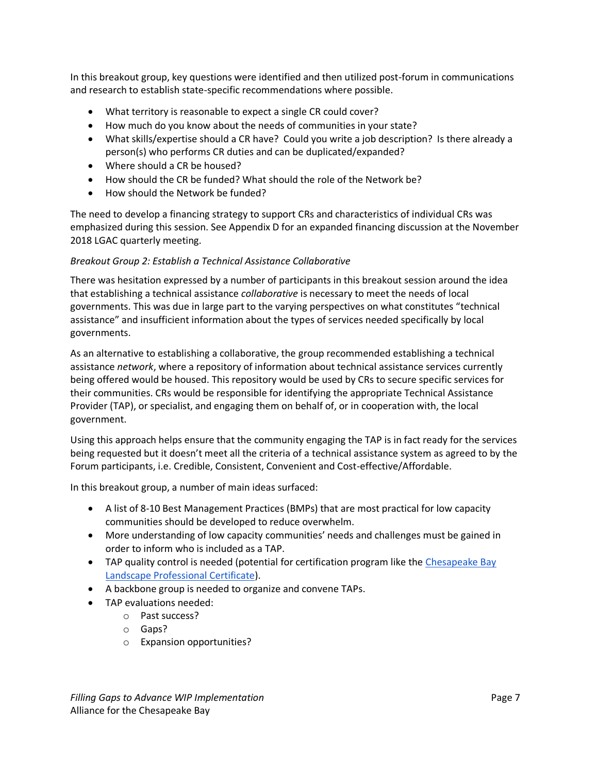In this breakout group, key questions were identified and then utilized post-forum in communications and research to establish state-specific recommendations where possible.

- What territory is reasonable to expect a single CR could cover?
- How much do you know about the needs of communities in your state?
- What skills/expertise should a CR have? Could you write a job description? Is there already a person(s) who performs CR duties and can be duplicated/expanded?
- Where should a CR be housed?
- How should the CR be funded? What should the role of the Network be?
- How should the Network be funded?

The need to develop a financing strategy to support CRs and characteristics of individual CRs was emphasized during this session. See Appendix D for an expanded financing discussion at the November 2018 LGAC quarterly meeting.

# *Breakout Group 2: Establish a Technical Assistance Collaborative*

There was hesitation expressed by a number of participants in this breakout session around the idea that establishing a technical assistance *collaborative* is necessary to meet the needs of local governments. This was due in large part to the varying perspectives on what constitutes "technical assistance" and insufficient information about the types of services needed specifically by local governments.

As an alternative to establishing a collaborative, the group recommended establishing a technical assistance *network*, where a repository of information about technical assistance services currently being offered would be housed. This repository would be used by CRs to secure specific services for their communities. CRs would be responsible for identifying the appropriate Technical Assistance Provider (TAP), or specialist, and engaging them on behalf of, or in cooperation with, the local government.

Using this approach helps ensure that the community engaging the TAP is in fact ready for the services being requested but it doesn't meet all the criteria of a technical assistance system as agreed to by the Forum participants, i.e. Credible, Consistent, Convenient and Cost-effective/Affordable.

In this breakout group, a number of main ideas surfaced:

- A list of 8-10 Best Management Practices (BMPs) that are most practical for low capacity communities should be developed to reduce overwhelm.
- More understanding of low capacity communities' needs and challenges must be gained in order to inform who is included as a TAP.
- TAP quality control is needed (potential for certification program like the Chesapeake Bay [Landscape Professional Certificate\)](https://cblpro.org/).
- A backbone group is needed to organize and convene TAPs.
- TAP evaluations needed:
	- o Past success?
	- o Gaps?
	- o Expansion opportunities?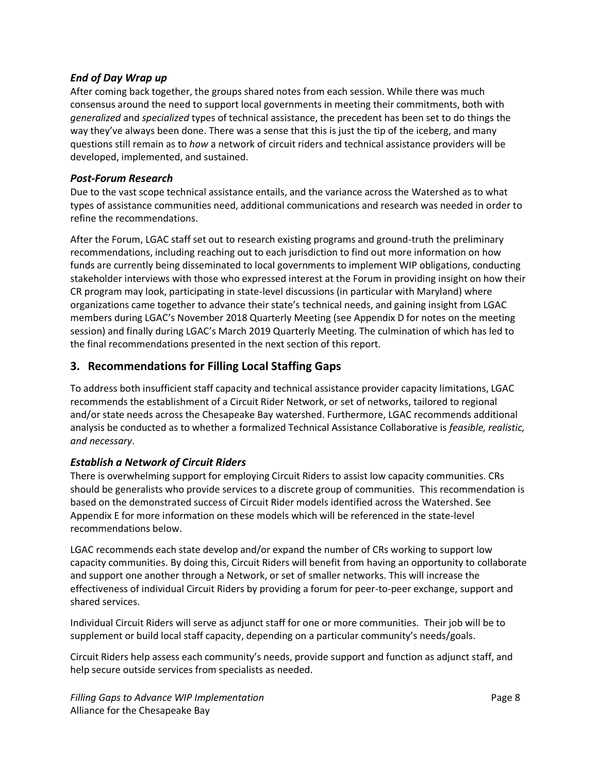#### *End of Day Wrap up*

After coming back together, the groups shared notes from each session. While there was much consensus around the need to support local governments in meeting their commitments, both with *generalized* and *specialized* types of technical assistance, the precedent has been set to do things the way they've always been done. There was a sense that this is just the tip of the iceberg, and many questions still remain as to *how* a network of circuit riders and technical assistance providers will be developed, implemented, and sustained.

#### *Post-Forum Research*

Due to the vast scope technical assistance entails, and the variance across the Watershed as to what types of assistance communities need, additional communications and research was needed in order to refine the recommendations.

After the Forum, LGAC staff set out to research existing programs and ground-truth the preliminary recommendations, including reaching out to each jurisdiction to find out more information on how funds are currently being disseminated to local governments to implement WIP obligations, conducting stakeholder interviews with those who expressed interest at the Forum in providing insight on how their CR program may look, participating in state-level discussions (in particular with Maryland) where organizations came together to advance their state's technical needs, and gaining insight from LGAC members during LGAC's November 2018 Quarterly Meeting (see Appendix D for notes on the meeting session) and finally during LGAC's March 2019 Quarterly Meeting. The culmination of which has led to the final recommendations presented in the next section of this report.

# **3. Recommendations for Filling Local Staffing Gaps**

To address both insufficient staff capacity and technical assistance provider capacity limitations, LGAC recommends the establishment of a Circuit Rider Network, or set of networks, tailored to regional and/or state needs across the Chesapeake Bay watershed. Furthermore, LGAC recommends additional analysis be conducted as to whether a formalized Technical Assistance Collaborative is *feasible, realistic, and necessary*.

# *Establish a Network of Circuit Riders*

There is overwhelming support for employing Circuit Riders to assist low capacity communities. CRs should be generalists who provide services to a discrete group of communities. This recommendation is based on the demonstrated success of Circuit Rider models identified across the Watershed. See Appendix E for more information on these models which will be referenced in the state-level recommendations below.

LGAC recommends each state develop and/or expand the number of CRs working to support low capacity communities. By doing this, Circuit Riders will benefit from having an opportunity to collaborate and support one another through a Network, or set of smaller networks. This will increase the effectiveness of individual Circuit Riders by providing a forum for peer-to-peer exchange, support and shared services.

Individual Circuit Riders will serve as adjunct staff for one or more communities. Their job will be to supplement or build local staff capacity, depending on a particular community's needs/goals.

Circuit Riders help assess each community's needs, provide support and function as adjunct staff, and help secure outside services from specialists as needed.

*Filling Gaps to Advance WIP Implementation* **Page 8 Page 8** Alliance for the Chesapeake Bay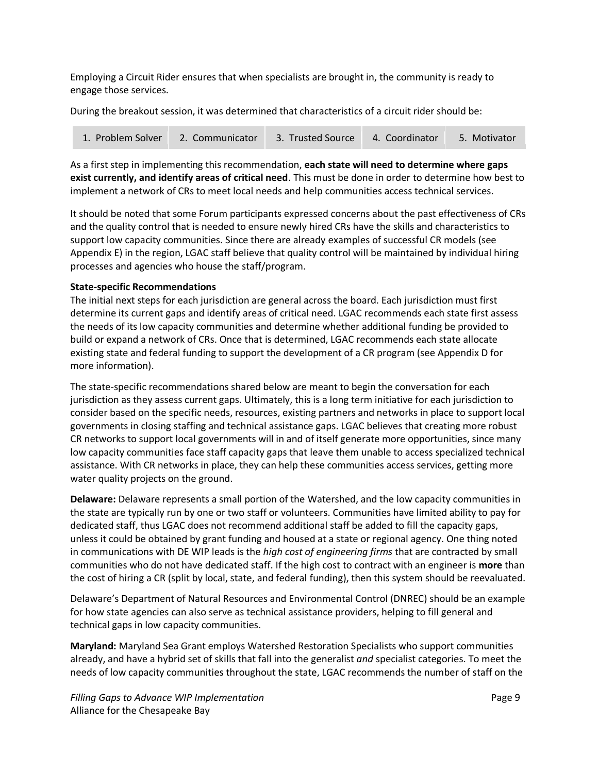Employing a Circuit Rider ensures that when specialists are brought in, the community is ready to engage those services.

During the breakout session, it was determined that characteristics of a circuit rider should be:

| 1. Problem Solver | 2. Communicator | 3. Trusted Source | 4. Coordinator | 5. Motivator |
|-------------------|-----------------|-------------------|----------------|--------------|
|-------------------|-----------------|-------------------|----------------|--------------|

As a first step in implementing this recommendation, **each state will need to determine where gaps exist currently, and identify areas of critical need**. This must be done in order to determine how best to implement a network of CRs to meet local needs and help communities access technical services.

It should be noted that some Forum participants expressed concerns about the past effectiveness of CRs and the quality control that is needed to ensure newly hired CRs have the skills and characteristics to support low capacity communities. Since there are already examples of successful CR models (see Appendix E) in the region, LGAC staff believe that quality control will be maintained by individual hiring processes and agencies who house the staff/program.

#### **State-specific Recommendations**

The initial next steps for each jurisdiction are general across the board. Each jurisdiction must first determine its current gaps and identify areas of critical need. LGAC recommends each state first assess the needs of its low capacity communities and determine whether additional funding be provided to build or expand a network of CRs. Once that is determined, LGAC recommends each state allocate existing state and federal funding to support the development of a CR program (see Appendix D for more information).

The state-specific recommendations shared below are meant to begin the conversation for each jurisdiction as they assess current gaps. Ultimately, this is a long term initiative for each jurisdiction to consider based on the specific needs, resources, existing partners and networks in place to support local governments in closing staffing and technical assistance gaps. LGAC believes that creating more robust CR networks to support local governments will in and of itself generate more opportunities, since many low capacity communities face staff capacity gaps that leave them unable to access specialized technical assistance. With CR networks in place, they can help these communities access services, getting more water quality projects on the ground.

**Delaware:** Delaware represents a small portion of the Watershed, and the low capacity communities in the state are typically run by one or two staff or volunteers. Communities have limited ability to pay for dedicated staff, thus LGAC does not recommend additional staff be added to fill the capacity gaps, unless it could be obtained by grant funding and housed at a state or regional agency. One thing noted in communications with DE WIP leads is the *high cost of engineering firms* that are contracted by small communities who do not have dedicated staff. If the high cost to contract with an engineer is **more** than the cost of hiring a CR (split by local, state, and federal funding), then this system should be reevaluated.

Delaware's Department of Natural Resources and Environmental Control (DNREC) should be an example for how state agencies can also serve as technical assistance providers, helping to fill general and technical gaps in low capacity communities.

**Maryland:** Maryland Sea Grant employs Watershed Restoration Specialists who support communities already, and have a hybrid set of skills that fall into the generalist *and* specialist categories. To meet the needs of low capacity communities throughout the state, LGAC recommends the number of staff on the

*Filling Gaps to Advance WIP Implementation* **Page 9 Page 9 Page 9** Alliance for the Chesapeake Bay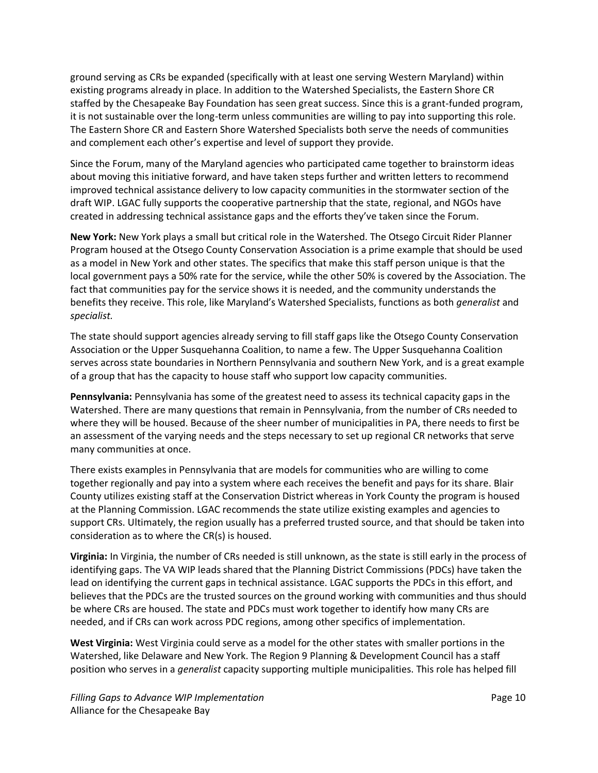ground serving as CRs be expanded (specifically with at least one serving Western Maryland) within existing programs already in place. In addition to the Watershed Specialists, the Eastern Shore CR staffed by the Chesapeake Bay Foundation has seen great success. Since this is a grant-funded program, it is not sustainable over the long-term unless communities are willing to pay into supporting this role. The Eastern Shore CR and Eastern Shore Watershed Specialists both serve the needs of communities and complement each other's expertise and level of support they provide.

Since the Forum, many of the Maryland agencies who participated came together to brainstorm ideas about moving this initiative forward, and have taken steps further and written letters to recommend improved technical assistance delivery to low capacity communities in the stormwater section of the draft WIP. LGAC fully supports the cooperative partnership that the state, regional, and NGOs have created in addressing technical assistance gaps and the efforts they've taken since the Forum.

**New York:** New York plays a small but critical role in the Watershed. The Otsego Circuit Rider Planner Program housed at the Otsego County Conservation Association is a prime example that should be used as a model in New York and other states. The specifics that make this staff person unique is that the local government pays a 50% rate for the service, while the other 50% is covered by the Association. The fact that communities pay for the service shows it is needed, and the community understands the benefits they receive. This role, like Maryland's Watershed Specialists, functions as both *generalist* and *specialist.* 

The state should support agencies already serving to fill staff gaps like the Otsego County Conservation Association or the Upper Susquehanna Coalition, to name a few. The Upper Susquehanna Coalition serves across state boundaries in Northern Pennsylvania and southern New York, and is a great example of a group that has the capacity to house staff who support low capacity communities.

**Pennsylvania:** Pennsylvania has some of the greatest need to assess its technical capacity gaps in the Watershed. There are many questions that remain in Pennsylvania, from the number of CRs needed to where they will be housed. Because of the sheer number of municipalities in PA, there needs to first be an assessment of the varying needs and the steps necessary to set up regional CR networks that serve many communities at once.

There exists examples in Pennsylvania that are models for communities who are willing to come together regionally and pay into a system where each receives the benefit and pays for its share. Blair County utilizes existing staff at the Conservation District whereas in York County the program is housed at the Planning Commission. LGAC recommends the state utilize existing examples and agencies to support CRs. Ultimately, the region usually has a preferred trusted source, and that should be taken into consideration as to where the CR(s) is housed.

**Virginia:** In Virginia, the number of CRs needed is still unknown, as the state is still early in the process of identifying gaps. The VA WIP leads shared that the Planning District Commissions (PDCs) have taken the lead on identifying the current gaps in technical assistance. LGAC supports the PDCs in this effort, and believes that the PDCs are the trusted sources on the ground working with communities and thus should be where CRs are housed. The state and PDCs must work together to identify how many CRs are needed, and if CRs can work across PDC regions, among other specifics of implementation.

**West Virginia:** West Virginia could serve as a model for the other states with smaller portions in the Watershed, like Delaware and New York. The Region 9 Planning & Development Council has a staff position who serves in a *generalist* capacity supporting multiple municipalities. This role has helped fill

*Filling Gaps to Advance WIP Implementation* Page 10 Alliance for the Chesapeake Bay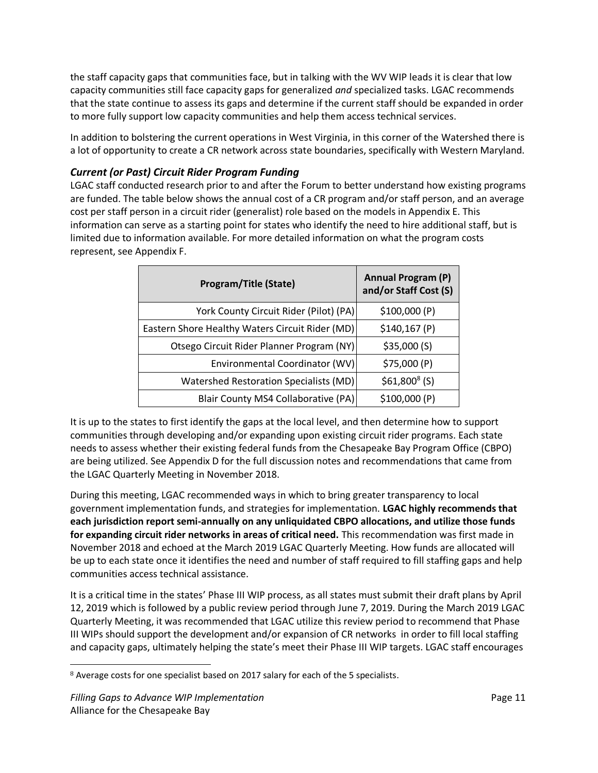the staff capacity gaps that communities face, but in talking with the WV WIP leads it is clear that low capacity communities still face capacity gaps for generalized *and* specialized tasks. LGAC recommends that the state continue to assess its gaps and determine if the current staff should be expanded in order to more fully support low capacity communities and help them access technical services.

In addition to bolstering the current operations in West Virginia, in this corner of the Watershed there is a lot of opportunity to create a CR network across state boundaries, specifically with Western Maryland.

# *Current (or Past) Circuit Rider Program Funding*

LGAC staff conducted research prior to and after the Forum to better understand how existing programs are funded. The table below shows the annual cost of a CR program and/or staff person, and an average cost per staff person in a circuit rider (generalist) role based on the models in Appendix E. This information can serve as a starting point for states who identify the need to hire additional staff, but is limited due to information available. For more detailed information on what the program costs represent, see Appendix F.

| <b>Program/Title (State)</b>                    | <b>Annual Program (P)</b><br>and/or Staff Cost (S) |  |
|-------------------------------------------------|----------------------------------------------------|--|
| York County Circuit Rider (Pilot) (PA)          | \$100,000(P)                                       |  |
| Eastern Shore Healthy Waters Circuit Rider (MD) | \$140,167(P)                                       |  |
| Otsego Circuit Rider Planner Program (NY)       | \$35,000(S)                                        |  |
| Environmental Coordinator (WV)                  | \$75,000 (P)                                       |  |
| Watershed Restoration Specialists (MD)          | $$61,800^8(S)$                                     |  |
| Blair County MS4 Collaborative (PA)             | \$100,000(P)                                       |  |

It is up to the states to first identify the gaps at the local level, and then determine how to support communities through developing and/or expanding upon existing circuit rider programs. Each state needs to assess whether their existing federal funds from the Chesapeake Bay Program Office (CBPO) are being utilized. See Appendix D for the full discussion notes and recommendations that came from the LGAC Quarterly Meeting in November 2018.

During this meeting, LGAC recommended ways in which to bring greater transparency to local government implementation funds, and strategies for implementation. **LGAC highly recommends that each jurisdiction report semi-annually on any unliquidated CBPO allocations, and utilize those funds for expanding circuit rider networks in areas of critical need.** This recommendation was first made in November 2018 and echoed at the March 2019 LGAC Quarterly Meeting. How funds are allocated will be up to each state once it identifies the need and number of staff required to fill staffing gaps and help communities access technical assistance.

It is a critical time in the states' Phase III WIP process, as all states must submit their draft plans by April 12, 2019 which is followed by a public review period through June 7, 2019. During the March 2019 LGAC Quarterly Meeting, it was recommended that LGAC utilize this review period to recommend that Phase III WIPs should support the development and/or expansion of CR networks in order to fill local staffing and capacity gaps, ultimately helping the state's meet their Phase III WIP targets. LGAC staff encourages

 $\overline{\phantom{0}}$ 8 Average costs for one specialist based on 2017 salary for each of the 5 specialists.